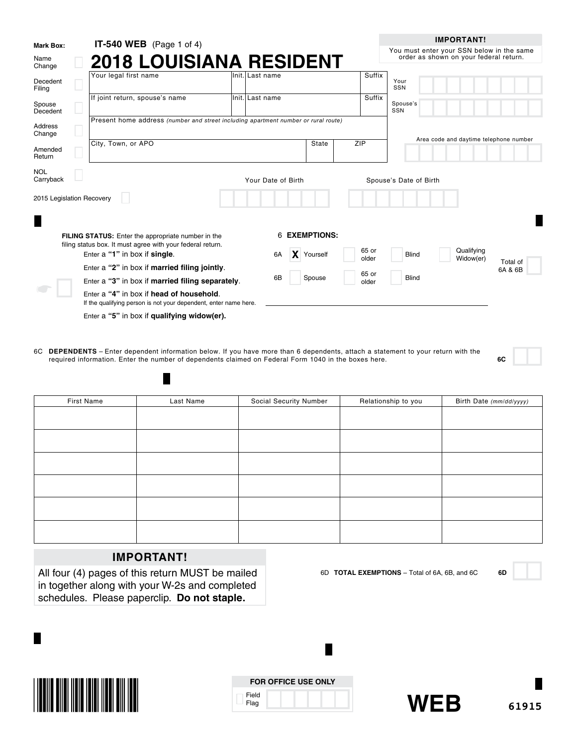| <b>Mark Box:</b>          |                    | <b>IT-540 WEB</b> (Page 1 of 4)                                                                                         |                                        |                  |        |               |                |                        | <b>IMPORTANT!</b>                                                                   |
|---------------------------|--------------------|-------------------------------------------------------------------------------------------------------------------------|----------------------------------------|------------------|--------|---------------|----------------|------------------------|-------------------------------------------------------------------------------------|
| Name<br>Change            |                    | <b>2018 LOUISIANA RESIDENT</b>                                                                                          |                                        |                  |        |               |                |                        | You must enter your SSN below in the same<br>order as shown on your federal return. |
| Decedent<br>Filing        |                    | Your legal first name                                                                                                   |                                        | lInit.lLast name |        |               |                | Suffix                 | Your<br>SSN                                                                         |
| Spouse<br>Decedent        |                    | If joint return, spouse's name                                                                                          |                                        | Init. Last name  |        |               |                | Suffix                 | Spouse's<br>SSN                                                                     |
| Address<br>Change         |                    | Present home address (number and street including apartment number or rural route)                                      | Area code and daytime telephone number |                  |        |               |                |                        |                                                                                     |
| Amended<br>Return         | City, Town, or APO |                                                                                                                         |                                        |                  |        | <b>State</b>  | ZIP            |                        |                                                                                     |
| <b>NOL</b><br>Carryback   |                    |                                                                                                                         | Your Date of Birth                     |                  |        |               |                | Spouse's Date of Birth |                                                                                     |
| 2015 Legislation Recovery |                    |                                                                                                                         |                                        |                  |        |               |                |                        |                                                                                     |
|                           |                    |                                                                                                                         |                                        |                  |        |               |                |                        |                                                                                     |
|                           |                    | <b>FILING STATUS:</b> Enter the appropriate number in the<br>filing status box. It must agree with your federal return. |                                        |                  |        | 6 EXEMPTIONS: |                |                        |                                                                                     |
|                           |                    | Enter a "1" in box if single.                                                                                           |                                        | 6A               |        | X Yourself    |                | 65 or<br>older         | Qualifying<br><b>Blind</b><br>Widow(er)<br>Total of                                 |
|                           |                    | Enter a "2" in box if married filing jointly.                                                                           |                                        |                  |        |               |                |                        | 6A & 6B                                                                             |
|                           |                    | Enter a "3" in box if married filing separately.                                                                        |                                        | 6B               | Spouse |               | 65 or<br>older | <b>Blind</b>           |                                                                                     |
|                           |                    | Enter a "4" in box if head of household.<br>If the qualifying person is not your dependent, enter name here.            |                                        |                  |        |               |                |                        |                                                                                     |
|                           |                    | Enter a "5" in box if qualifying widow(er).                                                                             |                                        |                  |        |               |                |                        |                                                                                     |

6C **DEPENDENTS** – Enter dependent information below. If you have more than 6 dependents, attach a statement to your return with the required information. Enter the number of dependents claimed on Federal Form 1040 in the boxes here. **6C**

| First Name | Last Name | Social Security Number | Relationship to you | Birth Date (mm/dd/yyyy) |
|------------|-----------|------------------------|---------------------|-------------------------|
|            |           |                        |                     |                         |
|            |           |                        |                     |                         |
|            |           |                        |                     |                         |
|            |           |                        |                     |                         |
|            |           |                        |                     |                         |
|            |           |                        |                     |                         |
|            |           |                        |                     |                         |
|            |           |                        |                     |                         |
|            |           |                        |                     |                         |
|            |           |                        |                     |                         |
|            |           |                        |                     |                         |
|            |           |                        |                     |                         |

# **IMPORTANT!**

П

All four (4) pages of this return MUST be mailed in together along with your W-2s and completed schedules. Please paperclip. **Do not staple.**



|               | <b>FOR OFFICE USE ONLY</b> |
|---------------|----------------------------|
| Field<br>Flag |                            |

Ш



6D **TOTAL EXEMPTIONS** – Total of 6A, 6B, and 6C **6D**

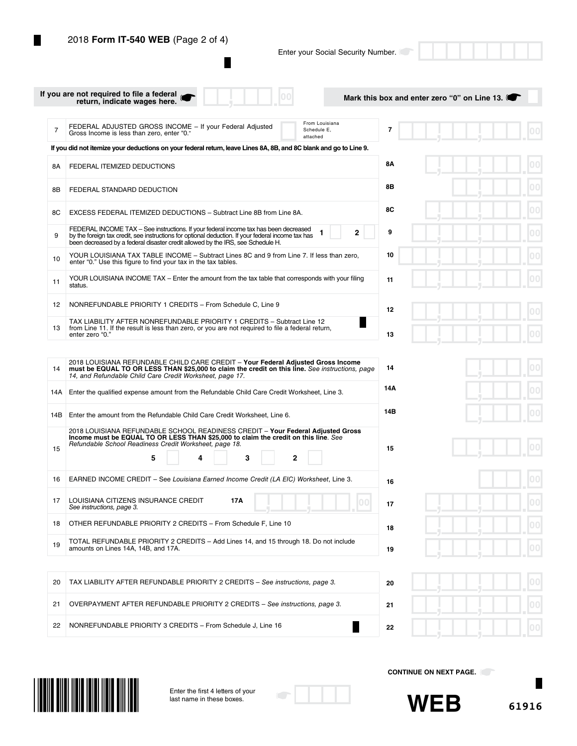г

Enter your Social Security Number.

|     | If you are not required to file a federal<br>return, indicate wages here.                                                                                                                                                                                                     |                                           | Mark this box and enter zero "0" on Line 13. |
|-----|-------------------------------------------------------------------------------------------------------------------------------------------------------------------------------------------------------------------------------------------------------------------------------|-------------------------------------------|----------------------------------------------|
| 7   | FEDERAL ADJUSTED GROSS INCOME - If your Federal Adjusted<br>Gross Income is less than zero, enter "0."                                                                                                                                                                        | From Louisiana<br>Schedule E.<br>attached | 7                                            |
|     | If you did not itemize your deductions on your federal return, leave Lines 8A, 8B, and 8C blank and go to Line 9.                                                                                                                                                             |                                           |                                              |
| 8A  | FEDERAL ITEMIZED DEDUCTIONS                                                                                                                                                                                                                                                   |                                           | 8Α                                           |
| 8Β  | FEDERAL STANDARD DEDUCTION                                                                                                                                                                                                                                                    |                                           | 8Β                                           |
| 8С  | EXCESS FEDERAL ITEMIZED DEDUCTIONS - Subtract Line 8B from Line 8A.                                                                                                                                                                                                           |                                           | 8C                                           |
| 9   | FEDERAL INCOME TAX – See instructions. If your federal income tax has been decreased<br>by the foreign tax credit, see instructions for optional deduction. If your federal income tax has<br>been decreased by a federal disaster credit allowed by the IRS, see Schedule H. | $\mathbf{2}$                              | 9<br>00                                      |
| 10  | YOUR LOUISIANA TAX TABLE INCOME - Subtract Lines 8C and 9 from Line 7. If less than zero,<br>enter "0." Use this figure to find your tax in the tax tables.                                                                                                                   |                                           | $ 00\rangle$<br>10                           |
| 11  | YOUR LOUISIANA INCOME TAX – Enter the amount from the tax table that corresponds with your filing<br>status.                                                                                                                                                                  |                                           | 00<br>11                                     |
| 12  | NONREFUNDABLE PRIORITY 1 CREDITS - From Schedule C, Line 9                                                                                                                                                                                                                    |                                           | 12                                           |
| 13  | TAX LIABILITY AFTER NONREFUNDABLE PRIORITY 1 CREDITS - Subtract Line 12<br>from Line 11. If the result is less than zero, or you are not required to file a federal return,<br>enter zero "0."                                                                                |                                           | 13                                           |
|     |                                                                                                                                                                                                                                                                               |                                           |                                              |
| 14  | 2018 LOUISIANA REFUNDABLE CHILD CARE CREDIT - Your Federal Adjusted Gross Income<br>must be EQUAL TO OR LESS THAN \$25,000 to claim the credit on this line. See instructions, page<br>14, and Refundable Child Care Credit Worksheet, page 17.                               |                                           | 00.<br>14                                    |
| 14A | Enter the qualified expense amount from the Refundable Child Care Credit Worksheet, Line 3.                                                                                                                                                                                   |                                           | 14A                                          |
| 14B | Enter the amount from the Refundable Child Care Credit Worksheet, Line 6.                                                                                                                                                                                                     |                                           | 14B                                          |
|     | 2018 LOUISIANA REFUNDABLE SCHOOL READINESS CREDIT - Your Federal Adjusted Gross<br>Income must be EQUAL TO OR LESS THAN \$25,000 to claim the credit on this line. See<br>Refundable School Readiness Credit Worksheet, page 18.                                              |                                           |                                              |
| 15  | 3<br>5                                                                                                                                                                                                                                                                        | 2                                         | 15                                           |
| 16  | EARNED INCOME CREDIT - See Louisiana Earned Income Credit (LA EIC) Worksheet, Line 3.                                                                                                                                                                                         |                                           | 16                                           |
| 17  | LOUISIANA CITIZENS INSURANCE CREDIT<br>17A<br>See instructions, page 3.                                                                                                                                                                                                       | 00                                        | 17                                           |
| 18  | OTHER REFUNDABLE PRIORITY 2 CREDITS - From Schedule F, Line 10                                                                                                                                                                                                                |                                           | 00 <br>18                                    |
| 19  | TOTAL REFUNDABLE PRIORITY 2 CREDITS - Add Lines 14, and 15 through 18. Do not include<br>amounts on Lines 14A, 14B, and 17A.                                                                                                                                                  |                                           | 00<br>19                                     |
| 20  | TAX LIABILITY AFTER REFUNDABLE PRIORITY 2 CREDITS - See instructions, page 3.                                                                                                                                                                                                 |                                           | $ 00\rangle$<br>20                           |
| 21  | OVERPAYMENT AFTER REFUNDABLE PRIORITY 2 CREDITS - See instructions, page 3.                                                                                                                                                                                                   |                                           | 00 <br>21                                    |
| 22  | NONREFUNDABLE PRIORITY 3 CREDITS - From Schedule J, Line 16                                                                                                                                                                                                                   | Ш                                         | 00                                           |
|     |                                                                                                                                                                                                                                                                               |                                           | 22                                           |



Enter the first 4 letters of your last name in these boxes.



**CONTINUE ON NEXT PAGE.** 

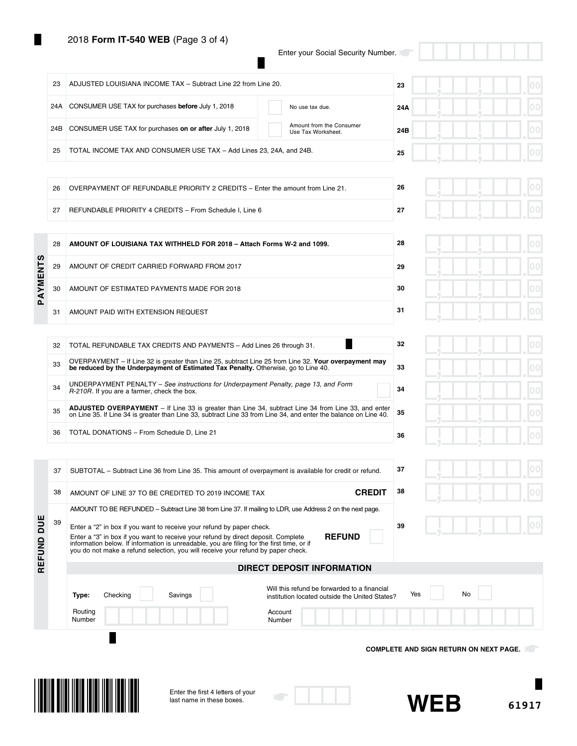# 2018 **Form IT-540 WEB** (Page 3 of 4)

Ш

Enter your Social Security Number.

 $\blacksquare$ 

|            |     | Enter the first 4 letters of your<br>last name in these boxes.                                                                                                                                                                                                           | <b>WEB</b><br>61917                                        |
|------------|-----|--------------------------------------------------------------------------------------------------------------------------------------------------------------------------------------------------------------------------------------------------------------------------|------------------------------------------------------------|
|            |     | Will this refund be forwarded to a financial<br>Checking<br>Savings<br>Type:<br>institution located outside the United States?<br>Routing<br>Account<br>Number<br>Number                                                                                                 | No<br>Yes<br><b>COMPLETE AND SIGN RETURN ON NEXT PAGE.</b> |
|            |     | <b>DIRECT DEPOSIT INFORMATION</b>                                                                                                                                                                                                                                        |                                                            |
|            |     | you do not make a refund selection, you will receive your refund by paper check.                                                                                                                                                                                         |                                                            |
| REFUND DUE | 39  | Enter a "2" in box if you want to receive your refund by paper check.<br><b>REFUND</b><br>Enter a "3" in box if you want to receive your refund by direct deposit. Complete<br>information below. If information is unreadable, you are filing for the first time, or if | 39                                                         |
|            |     | AMOUNT TO BE REFUNDED – Subtract Line 38 from Line 37. If mailing to LDR, use Address 2 on the next page.                                                                                                                                                                |                                                            |
|            | 38  | <b>CREDIT</b><br>AMOUNT OF LINE 37 TO BE CREDITED TO 2019 INCOME TAX                                                                                                                                                                                                     | 38                                                         |
|            | 37  | SUBTOTAL - Subtract Line 36 from Line 35. This amount of overpayment is available for credit or refund.                                                                                                                                                                  | 37                                                         |
|            | 36  | TOTAL DONATIONS - From Schedule D, Line 21                                                                                                                                                                                                                               | 36                                                         |
|            | 35  | on Line 35. If Line 34 is greater than Line 33, subtract Line 33 from Line 34, and enter the balance on Line 40.                                                                                                                                                         | 35                                                         |
|            | 34  | R-210R. If you are a farmer, check the box.<br><b>ADJUSTED OVERPAYMENT</b> – If Line 33 is greater than Line 34, subtract Line 34 from Line 33, and enter                                                                                                                | 34                                                         |
|            | 33  | be reduced by the Underpayment of Estimated Tax Penalty. Otherwise, go to Line 40.<br>UNDERPAYMENT PENALTY – See instructions for Underpayment Penalty, page 13, and Form                                                                                                | 33                                                         |
|            | 32  | TOTAL REFUNDABLE TAX CREDITS AND PAYMENTS - Add Lines 26 through 31.<br>OVERPAYMENT - If Line 32 is greater than Line 25, subtract Line 25 from Line 32. Your overpayment may                                                                                            | 32                                                         |
|            |     |                                                                                                                                                                                                                                                                          |                                                            |
|            | 31  | AMOUNT PAID WITH EXTENSION REQUEST                                                                                                                                                                                                                                       | 31                                                         |
| PAYMENTS   | 30  | AMOUNT OF ESTIMATED PAYMENTS MADE FOR 2018                                                                                                                                                                                                                               | 30                                                         |
|            | 29  | AMOUNT OF CREDIT CARRIED FORWARD FROM 2017                                                                                                                                                                                                                               | 29                                                         |
|            | 28  | AMOUNT OF LOUISIANA TAX WITHHELD FOR 2018 - Attach Forms W-2 and 1099.                                                                                                                                                                                                   | 28                                                         |
|            | 27  | REFUNDABLE PRIORITY 4 CREDITS - From Schedule I, Line 6                                                                                                                                                                                                                  | 27                                                         |
|            | 26  | OVERPAYMENT OF REFUNDABLE PRIORITY 2 CREDITS - Enter the amount from Line 21.                                                                                                                                                                                            | 26                                                         |
|            |     |                                                                                                                                                                                                                                                                          |                                                            |
|            | 25  | TOTAL INCOME TAX AND CONSUMER USE TAX - Add Lines 23, 24A, and 24B.                                                                                                                                                                                                      | 25                                                         |
|            | 24B | Amount from the Consumer<br>CONSUMER USE TAX for purchases on or after July 1, 2018<br>Use Tax Worksheet.                                                                                                                                                                | 24B                                                        |
|            | 24A | CONSUMER USE TAX for purchases before July 1, 2018<br>No use tax due.                                                                                                                                                                                                    | 00<br>24A                                                  |
|            | 23  | ADJUSTED LOUISIANA INCOME TAX - Subtract Line 22 from Line 20.                                                                                                                                                                                                           | 23                                                         |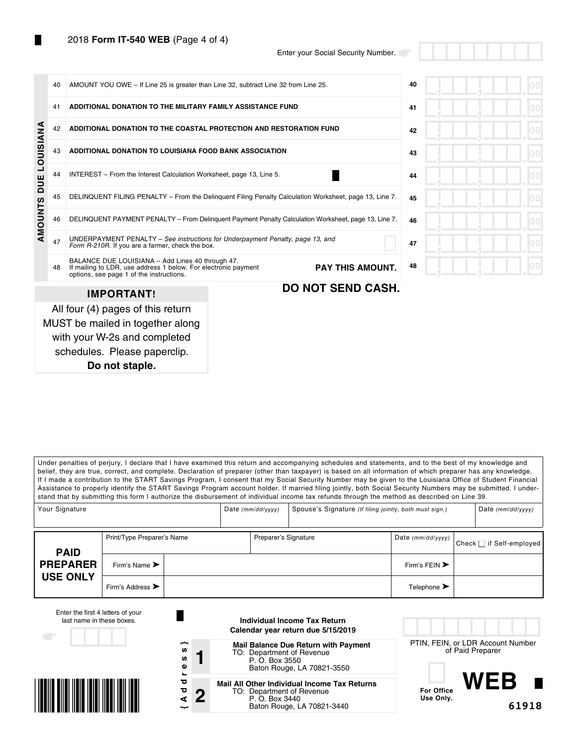Enter your Social Security Number.

|                | 40 | AMOUNT YOU OWE - If Line 25 is greater than Line 32, subtract Line 32 from Line 25.                                                                            |  | 40                       |    |  |
|----------------|----|----------------------------------------------------------------------------------------------------------------------------------------------------------------|--|--------------------------|----|--|
|                |    |                                                                                                                                                                |  |                          |    |  |
|                | 41 | ADDITIONAL DONATION TO THE MILITARY FAMILY ASSISTANCE FUND                                                                                                     |  |                          | 41 |  |
|                | 42 | ADDITIONAL DONATION TO THE COASTAL PROTECTION AND RESTORATION FUND                                                                                             |  |                          | 42 |  |
| LOUISIANA      | 43 | ADDITIONAL DONATION TO LOUISIANA FOOD BANK ASSOCIATION                                                                                                         |  |                          | 43 |  |
| DUE            | 44 | INTEREST - From the Interest Calculation Worksheet, page 13, Line 5.                                                                                           |  | 44                       |    |  |
|                | 45 | DELINQUENT FILING PENALTY - From the Delinquent Filing Penalty Calculation Worksheet, page 13, Line 7.                                                         |  | 45                       |    |  |
| <b>AMOUNTS</b> | 46 | DELINQUENT PAYMENT PENALTY - From Delinquent Payment Penalty Calculation Worksheet, page 13, Line 7.                                                           |  | 46                       |    |  |
|                | 47 | UNDERPAYMENT PENALTY - See instructions for Underpayment Penalty, page 13, and<br>Form R-210R. If you are a farmer, check the box.                             |  | 47                       |    |  |
|                | 48 | BALANCE DUE LOUISIANA - Add Lines 40 through 47.<br>If mailing to LDR, use address 1 below. For electronic payment<br>options, see page 1 of the instructions. |  | <b>PAY THIS AMOUNT.</b>  | 48 |  |
|                |    | <b>IMPORTANT!</b>                                                                                                                                              |  | <b>DO NOT SEND CASH.</b> |    |  |
|                |    | All four (4) pages of this return                                                                                                                              |  |                          |    |  |
|                |    | MUST be mailed in together along                                                                                                                               |  |                          |    |  |
|                |    | with your W-2s and completed                                                                                                                                   |  |                          |    |  |
|                |    | schedules. Please paperclip.                                                                                                                                   |  |                          |    |  |

**Do not staple.**

Under penalties of perjury, I declare that I have examined this return and accompanying schedules and statements, and to the best of my knowledge and belief, they are true, correct, and complete. Declaration of preparer (other than taxpayer) is based on all information of which preparer has any knowledge. If I made a contribution to the START Savings Program, I consent that my Social Security Number may be given to the Louisiana Office of Student Financial Assistance to properly identify the START Savings Program account holder. If married filing jointly, both Social Security Numbers may be submitted. I understand that by submitting this form I authorize the disbursement of individual income tax refunds through the method as described on Line 39.

| Your Signature  |                                      |                      |  | Date $(mm/dd/yyyy)$ | Spouse's Signature (If filing jointly, both must sign.) |                                   |                                | Date $(mm/dd/yyyy)$ |
|-----------------|--------------------------------------|----------------------|--|---------------------|---------------------------------------------------------|-----------------------------------|--------------------------------|---------------------|
| <b>PAID</b>     | Print/Type Preparer's Name           | Preparer's Signature |  |                     | Date $(mm/dd/yyyy)$                                     |                                   | <b>Check</b> nif Self-employed |                     |
| <b>PREPARER</b> | Firm's Name $\blacktriangleright$    |                      |  |                     |                                                         | Firm's FEIN $\blacktriangleright$ |                                |                     |
| <b>USE ONLY</b> | Firm's Address $\blacktriangleright$ |                      |  |                     |                                                         | Telephone $\blacktriangleright$   |                                |                     |

| Enter the first 4 letters of your<br>last name in these boxes. |                                | Individual Income Tax Return<br>Calendar year return due 5/15/2019                                                        |                                                       |
|----------------------------------------------------------------|--------------------------------|---------------------------------------------------------------------------------------------------------------------------|-------------------------------------------------------|
|                                                                | ∼<br><b>SD</b><br>w<br>Φ<br>s. | <b>Mail Balance Due Return with Payment</b><br>TO: Department of Revenue<br>P. O. Box 3550<br>Baton Rouge, LA 70821-3550  | PTIN, FEIN, or LDR Account Number<br>of Paid Preparer |
|                                                                | ਠ<br>ਹ<br>ŋ<br>ىب              | Mail All Other Individual Income Tax Returns<br>TO: Department of Revenue<br>P. O. Box 3440<br>Baton Rouge, LA 70821-3440 | WFR<br><b>For Office</b><br>Use Only.<br>61918        |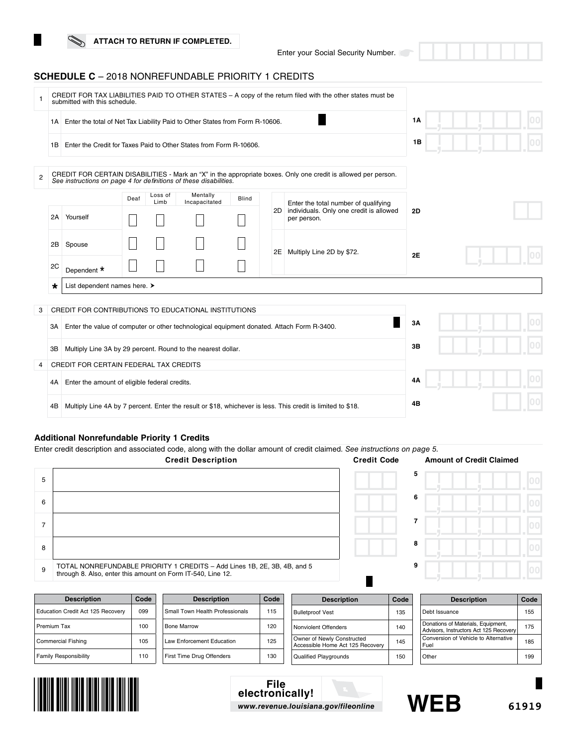Enter your Social Security Number.

# **SCHEDULE C** – 2018 NONREFUNDABLE PRIORITY 1 CREDITS

| 1              |         | CREDIT FOR TAX LIABILITIES PAID TO OTHER STATES - A copy of the return filed with the other states must be<br>submitted with this schedule.                                         |      |                 |                           |              |    |                                                                                                             |           |  |  |
|----------------|---------|-------------------------------------------------------------------------------------------------------------------------------------------------------------------------------------|------|-----------------|---------------------------|--------------|----|-------------------------------------------------------------------------------------------------------------|-----------|--|--|
|                | 1A      | Enter the total of Net Tax Liability Paid to Other States from Form R-10606.                                                                                                        |      |                 |                           |              |    |                                                                                                             | <b>1A</b> |  |  |
|                | 1B      | Enter the Credit for Taxes Paid to Other States from Form R-10606.                                                                                                                  |      | 1B              |                           |              |    |                                                                                                             |           |  |  |
| $\overline{2}$ |         | CREDIT FOR CERTAIN DISABILITIES - Mark an "X" in the appropriate boxes. Only one credit is allowed per person.<br>See instructions on page 4 for definitions of these disabilities. |      |                 |                           |              |    |                                                                                                             |           |  |  |
|                |         |                                                                                                                                                                                     | Deaf | Loss of<br>Limb | Mentally<br>Incapacitated | <b>Blind</b> |    | Enter the total number of qualifying                                                                        |           |  |  |
|                | 2A      | Yourself                                                                                                                                                                            |      |                 |                           |              |    | 2D individuals. Only one credit is allowed<br>per person.                                                   | 2D        |  |  |
|                | 2B      | Spouse                                                                                                                                                                              |      |                 |                           |              | 2E | Multiply Line 2D by \$72.                                                                                   |           |  |  |
|                | 2C      | Dependent *                                                                                                                                                                         |      |                 |                           |              |    |                                                                                                             | <b>2E</b> |  |  |
|                | $\star$ | List dependent names here. >                                                                                                                                                        |      |                 |                           |              |    |                                                                                                             |           |  |  |
| 3              |         | CREDIT FOR CONTRIBUTIONS TO EDUCATIONAL INSTITUTIONS                                                                                                                                |      |                 |                           |              |    |                                                                                                             |           |  |  |
|                | ЗΑ      | Enter the value of computer or other technological equipment donated. Attach Form R-3400.                                                                                           |      |                 |                           |              |    |                                                                                                             | 3A        |  |  |
|                | ЗB      | Multiply Line 3A by 29 percent. Round to the nearest dollar.                                                                                                                        |      |                 |                           |              |    |                                                                                                             | 3B        |  |  |
| 4              |         | CREDIT FOR CERTAIN FEDERAL TAX CREDITS                                                                                                                                              |      |                 |                           |              |    |                                                                                                             |           |  |  |
|                | 4A      | Enter the amount of eligible federal credits.                                                                                                                                       |      |                 |                           |              |    |                                                                                                             | 4Α        |  |  |
|                | 4B      |                                                                                                                                                                                     |      |                 |                           |              |    | Multiply Line 4A by 7 percent. Enter the result or \$18, whichever is less. This credit is limited to \$18. | 4В        |  |  |

## **Additional Nonrefundable Priority 1 Credits**

Enter credit description and associated code, along with the dollar amount of credit claimed. *See instructions on page 5.*

|   | <b>Credit Description</b>                                                                                                               | <b>Credit Code</b> | <b>Amount of Credit Claimed</b> |  |
|---|-----------------------------------------------------------------------------------------------------------------------------------------|--------------------|---------------------------------|--|
| 5 |                                                                                                                                         |                    | 5                               |  |
| 6 |                                                                                                                                         |                    | 6                               |  |
|   |                                                                                                                                         |                    |                                 |  |
| 8 |                                                                                                                                         |                    | 8                               |  |
| 9 | TOTAL NONREFUNDABLE PRIORITY 1 CREDITS - Add Lines 1B, 2E, 3B, 4B, and 5<br>through 8. Also, enter this amount on Form IT-540, Line 12. |                    | 9                               |  |

| <b>Description</b>                | Code | <b>Description</b>                     | Code | <b>Description</b>                                             | Code | <b>Description</b>                                                           | Code |
|-----------------------------------|------|----------------------------------------|------|----------------------------------------------------------------|------|------------------------------------------------------------------------------|------|
| Education Credit Act 125 Recovery | 099  | <b>Small Town Health Professionals</b> | 115  | <b>Bulletproof Vest</b>                                        | 135  | Debt Issuance                                                                | 155  |
| Premium Tax                       | 100  | <b>Bone Marrow</b>                     | 120  | Nonviolent Offenders                                           | 140  | Donations of Materials, Equipment,<br>Advisors, Instructors Act 125 Recovery | 175  |
| <b>Commercial Fishing</b>         | 105  | Law Enforcement Education              | 125  | Owner of Newly Constructed<br>Accessible Home Act 125 Recoverv | 145  | Conversion of Vehicle to Alternative<br>Fuel                                 | 185  |
| <b>Family Responsibility</b>      | 110  | First Time Drug Offenders              | 130  | <b>Qualified Playgrounds</b>                                   | 150  | Other                                                                        | 199  |



# **File electronically!** *www.revenue.louisiana.gov/fileonline* **WEB**



H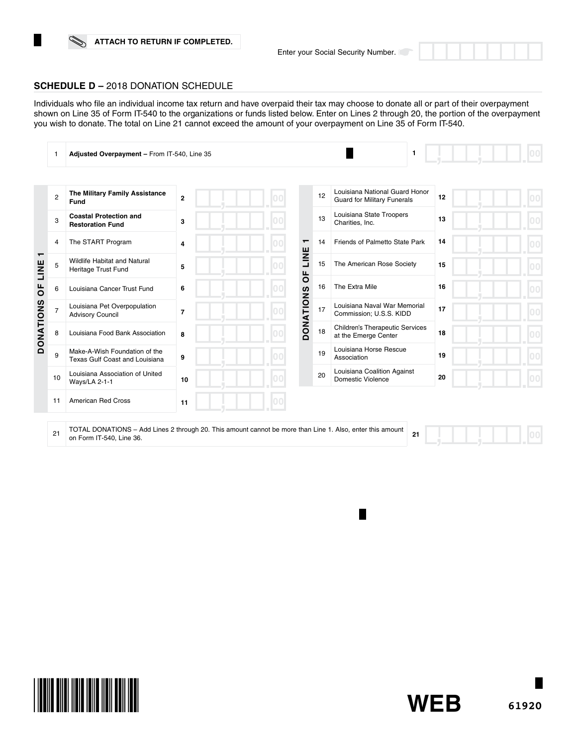**61920**

**WEB**

П

## **SCHEDULE D –** 2018 DONATION SCHEDULE

Individuals who file an individual income tax return and have overpaid their tax may choose to donate all or part of their overpayment shown on Line 35 of Form IT-540 to the organizations or funds listed below. Enter on Lines 2 through 20, the portion of the overpayment you wish to donate. The total on Line 21 cannot exceed the amount of your overpayment on Line 35 of Form IT-540.

|                                     |                | Adjusted Overpayment - From IT-540, Line 35                                                                                           | $\mathbf{1}$   |                |                  |    |                                                                      |    |  |
|-------------------------------------|----------------|---------------------------------------------------------------------------------------------------------------------------------------|----------------|----------------|------------------|----|----------------------------------------------------------------------|----|--|
|                                     |                |                                                                                                                                       |                |                |                  |    |                                                                      |    |  |
|                                     | $\overline{2}$ | The Military Family Assistance<br>Fund                                                                                                | $\overline{2}$ |                |                  | 12 | Louisiana National Guard Honor<br><b>Guard for Military Funerals</b> | 12 |  |
|                                     | 3              | <b>Coastal Protection and</b><br><b>Restoration Fund</b>                                                                              | 3              |                |                  | 13 | Louisiana State Troopers<br>Charities, Inc.                          | 13 |  |
|                                     | 4              | The START Program                                                                                                                     | $\overline{4}$ | 0 <sup>0</sup> | $\mathbf -$      | 14 | Friends of Palmetto State Park                                       | 14 |  |
| $\mathbf$<br>LINE<br>$\overline{0}$ | 5              | <b>Wildlife Habitat and Natural</b><br>Heritage Trust Fund                                                                            | 5              |                | LINE<br>ЪP       | 15 | The American Rose Society                                            | 15 |  |
|                                     | 6              | Louisiana Cancer Trust Fund                                                                                                           | 6              |                |                  | 16 | The Extra Mile                                                       | 16 |  |
|                                     | 7              | Louisiana Pet Overpopulation<br><b>Advisory Council</b>                                                                               | 7              |                | <b>DONATIONS</b> | 17 | Louisiana Naval War Memorial<br>Commission; U.S.S. KIDD              | 17 |  |
| <b>DONATIONS</b>                    | 8              | Louisiana Food Bank Association                                                                                                       | 8              |                |                  | 18 | <b>Children's Therapeutic Services</b><br>at the Emerge Center       | 18 |  |
|                                     | 9              | Make-A-Wish Foundation of the<br>Texas Gulf Coast and Louisiana                                                                       | 9              |                |                  | 19 | Louisiana Horse Rescue<br>Association                                | 19 |  |
|                                     | 10             | Louisiana Association of United<br>Ways/LA 2-1-1                                                                                      | 10             |                |                  | 20 | Louisiana Coalition Against<br>Domestic Violence                     | 20 |  |
|                                     | 11             | <b>American Red Cross</b>                                                                                                             | 11             |                |                  |    |                                                                      |    |  |
|                                     | 21             | TOTAL DONATIONS - Add Lines 2 through 20. This amount cannot be more than Line 1. Also, enter this amount<br>on Form IT-540, Line 36. |                |                |                  |    | 21                                                                   |    |  |

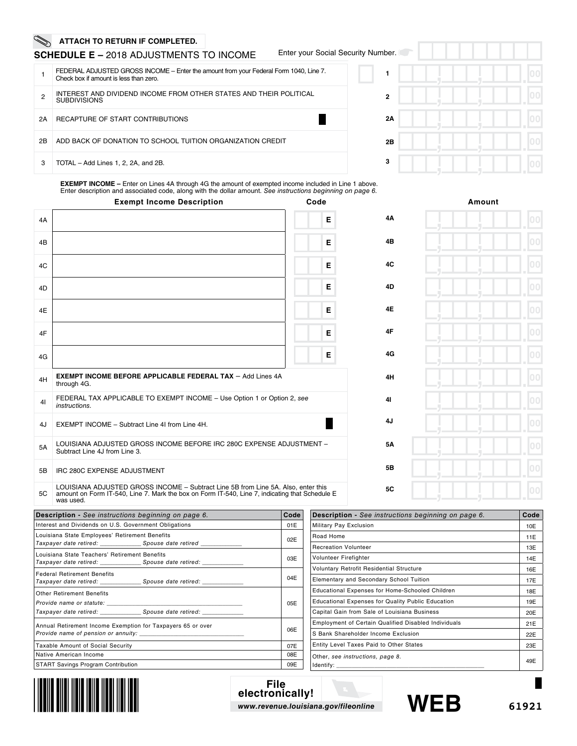## **SCHEDULE E –** 2018 ADJUSTMENTS TO INCOME

|  |  |  |  | Enter your Social Security Number. |
|--|--|--|--|------------------------------------|
|--|--|--|--|------------------------------------|

|    | FEDERAL ADJUSTED GROSS INCOME – Enter the amount from your Federal Form 1040, Line 7.<br>Check box if amount is less than zero. |
|----|---------------------------------------------------------------------------------------------------------------------------------|
| 2  | INTEREST AND DIVIDEND INCOME FROM OTHER STATES AND THEIR POLITICAL<br><b>SUBDIVISIONS</b>                                       |
| 2Α | RECAPTURE OF START CONTRIBUTIONS                                                                                                |
| 2Β | ADD BACK OF DONATION TO SCHOOL TUITION ORGANIZATION CREDIT                                                                      |
| 3  | TOTAL - Add Lines 1, 2, 2A, and 2B.                                                                                             |

|    | $\mathsf{per}$ . $\Box$ |  |  |  |  |    |
|----|-------------------------|--|--|--|--|----|
| 1  |                         |  |  |  |  | 00 |
| 2  |                         |  |  |  |  | 00 |
| 2Α |                         |  |  |  |  | 00 |
| 2B |                         |  |  |  |  | 00 |
| 3  |                         |  |  |  |  | 00 |

**EXEMPT INCOME –** Enter on Lines 4A through 4G the amount of exempted income included in Line 1 above. Enter description and associated code, along with the dollar amount. *See instructions beginning on page 6.*

|    | <b>Exempt Income Description</b>                                                                                                                                                                 | Code |           | Amount |
|----|--------------------------------------------------------------------------------------------------------------------------------------------------------------------------------------------------|------|-----------|--------|
| 4A |                                                                                                                                                                                                  | Е    | 4A        |        |
| 4B |                                                                                                                                                                                                  | Е    | 4B        |        |
| 4C |                                                                                                                                                                                                  | Е    | 4C        |        |
| 4D |                                                                                                                                                                                                  | Е    | 4D        |        |
| 4E |                                                                                                                                                                                                  | Е    | <b>4E</b> |        |
| 4F |                                                                                                                                                                                                  | Е    | 4F        |        |
| 4G |                                                                                                                                                                                                  | Е    | 4G        |        |
| 4H | <b>EXEMPT INCOME BEFORE APPLICABLE FEDERAL TAX - Add Lines 4A</b><br>through 4G.                                                                                                                 |      | 4H        |        |
| 41 | FEDERAL TAX APPLICABLE TO EXEMPT INCOME - Use Option 1 or Option 2, see<br>instructions.                                                                                                         |      | 41        |        |
| 4J | EXEMPT INCOME - Subtract Line 4I from Line 4H.                                                                                                                                                   |      | 4J        |        |
| 5A | LOUISIANA ADJUSTED GROSS INCOME BEFORE IRC 280C EXPENSE ADJUSTMENT -<br>Subtract Line 4J from Line 3.                                                                                            |      | <b>5A</b> |        |
| 5B | IRC 280C EXPENSE ADJUSTMENT                                                                                                                                                                      |      | 5B        |        |
| 5C | LOUISIANA ADJUSTED GROSS INCOME - Subtract Line 5B from Line 5A. Also, enter this<br>amount on Form IT-540, Line 7. Mark the box on Form IT-540, Line 7, indicating that Schedule E<br>was used. |      | <b>5C</b> |        |

| <b>Description</b> - See instructions beginning on page 6.                      | Code |  |  |
|---------------------------------------------------------------------------------|------|--|--|
| Interest and Dividends on U.S. Government Obligations                           |      |  |  |
| Louisiana State Employees' Retirement Benefits                                  | 02E  |  |  |
| Louisiana State Teachers' Retirement Benefits                                   | 03E  |  |  |
| <b>Federal Retirement Benefits</b>                                              | 04E  |  |  |
| <b>Other Retirement Benefits</b><br>Taxpayer date retired: Spouse date retired: | 05E  |  |  |
| Annual Retirement Income Exemption for Taxpayers 65 or over                     | 06E  |  |  |
| Taxable Amount of Social Security                                               | 07E  |  |  |
| Native American Income                                                          | 08E  |  |  |
| <b>START Savings Program Contribution</b>                                       | 09E  |  |  |

| <b>Description</b> - See instructions beginning on page 6.  | Code |
|-------------------------------------------------------------|------|
| Military Pay Exclusion                                      | 10E  |
| Road Home                                                   | 11E  |
| <b>Recreation Volunteer</b>                                 | 13E  |
| Volunteer Firefighter                                       | 14E  |
| <b>Voluntary Retrofit Residential Structure</b>             | 16E  |
| Elementary and Secondary School Tuition                     | 17E  |
| <b>Educational Expenses for Home-Schooled Children</b>      | 18E  |
| <b>Educational Expenses for Quality Public Education</b>    | 19E  |
| Capital Gain from Sale of Louisiana Business                | 20E  |
| <b>Employment of Certain Qualified Disabled Individuals</b> | 21E  |
| S Bank Shareholder Income Exclusion                         | 22E  |
| Entity Level Taxes Paid to Other States                     | 23E  |
| Other, see instructions, page 8.<br>Identify:               | 49E  |



**File electronically!** *www.revenue.louisiana.gov/fileonline* **WEB**



п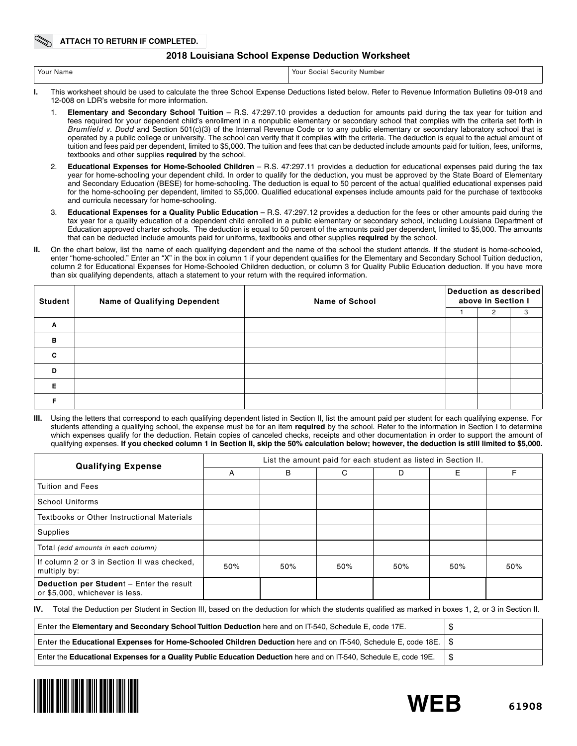## **2018 Louisiana School Expense Deduction Worksheet**

| ` Your Name | Your<br>. Security 1<br>Number<br>Social |
|-------------|------------------------------------------|
|             |                                          |

- **I.** This worksheet should be used to calculate the three School Expense Deductions listed below. Refer to Revenue Information Bulletins 09-019 and 12-008 on LDR's website for more information.
	- 1. **Elementary and Secondary School Tuition** R.S. 47:297.10 provides a deduction for amounts paid during the tax year for tuition and fees required for your dependent child's enrollment in a nonpublic elementary or secondary school that complies with the criteria set forth in *Brumfield v. Dodd* and Section 501(c)(3) of the Internal Revenue Code or to any public elementary or secondary laboratory school that is operated by a public college or university. The school can verify that it complies with the criteria. The deduction is equal to the actual amount of tuition and fees paid per dependent, limited to \$5,000. The tuition and fees that can be deducted include amounts paid for tuition, fees, uniforms, textbooks and other supplies **required** by the school.
	- 2. **Educational Expenses for Home-Schooled Children** R.S. 47:297.11 provides a deduction for educational expenses paid during the tax year for home-schooling your dependent child. In order to qualify for the deduction, you must be approved by the State Board of Elementary and Secondary Education (BESE) for home-schooling. The deduction is equal to 50 percent of the actual qualified educational expenses paid for the home-schooling per dependent, limited to \$5,000. Qualified educational expenses include amounts paid for the purchase of textbooks and curricula necessary for home-schooling.
	- 3. **Educational Expenses for a Quality Public Education** R.S. 47:297.12 provides a deduction for the fees or other amounts paid during the tax year for a quality education of a dependent child enrolled in a public elementary or secondary school, including Louisiana Department of Education approved charter schools. The deduction is equal to 50 percent of the amounts paid per dependent, limited to \$5,000. The amounts that can be deducted include amounts paid for uniforms, textbooks and other supplies **required** by the school.
- **II.** On the chart below, list the name of each qualifying dependent and the name of the school the student attends. If the student is home-schooled, enter "home-schooled." Enter an "X" in the box in column 1 if your dependent qualifies for the Elementary and Secondary School Tuition deduction, column 2 for Educational Expenses for Home-Schooled Children deduction, or column 3 for Quality Public Education deduction. If you have more than six qualifying dependents, attach a statement to your return with the required information.

| <b>Student</b> | <b>Name of Qualifying Dependent</b> | <b>Name of School</b> | Deduction as described<br>above in Section I |   |   |
|----------------|-------------------------------------|-----------------------|----------------------------------------------|---|---|
|                |                                     |                       |                                              | 2 | 3 |
| Α              |                                     |                       |                                              |   |   |
| B              |                                     |                       |                                              |   |   |
| C              |                                     |                       |                                              |   |   |
| D              |                                     |                       |                                              |   |   |
| Е              |                                     |                       |                                              |   |   |
|                |                                     |                       |                                              |   |   |

**III.** Using the letters that correspond to each qualifying dependent listed in Section II, list the amount paid per student for each qualifying expense. For students attending a qualifying school, the expense must be for an item **required** by the school. Refer to the information in Section I to determine which expenses qualify for the deduction. Retain copies of canceled checks, receipts and other documentation in order to support the amount of qualifying expenses. **If you checked column 1 in Section II, skip the 50% calculation below; however, the deduction is still limited to \$5,000.**

| <b>Qualifying Expense</b>                                                  | List the amount paid for each student as listed in Section II. |     |     |     |     |     |  |  |
|----------------------------------------------------------------------------|----------------------------------------------------------------|-----|-----|-----|-----|-----|--|--|
|                                                                            | A                                                              | В   | C   | D   | Е   | F   |  |  |
| <b>Tuition and Fees</b>                                                    |                                                                |     |     |     |     |     |  |  |
| <b>School Uniforms</b>                                                     |                                                                |     |     |     |     |     |  |  |
| Textbooks or Other Instructional Materials                                 |                                                                |     |     |     |     |     |  |  |
| Supplies                                                                   |                                                                |     |     |     |     |     |  |  |
| Total (add amounts in each column)                                         |                                                                |     |     |     |     |     |  |  |
| If column 2 or 3 in Section II was checked.<br>multiply by:                | 50%                                                            | 50% | 50% | 50% | 50% | 50% |  |  |
| Deduction per Student - Enter the result<br>or \$5,000, whichever is less. |                                                                |     |     |     |     |     |  |  |

**IV.** Total the Deduction per Student in Section III, based on the deduction for which the students qualified as marked in boxes 1, 2, or 3 in Section II.

| Enter the Elementary and Secondary School Tuition Deduction here and on IT-540, Schedule E, code 17E.                   |  |
|-------------------------------------------------------------------------------------------------------------------------|--|
| Enter the Educational Expenses for Home-Schooled Children Deduction here and on IT-540, Schedule E, code 18E. $\mid$ \$ |  |
| Enter the Educational Expenses for a Quality Public Education Deduction here and on IT-540, Schedule E, code 19E.       |  |



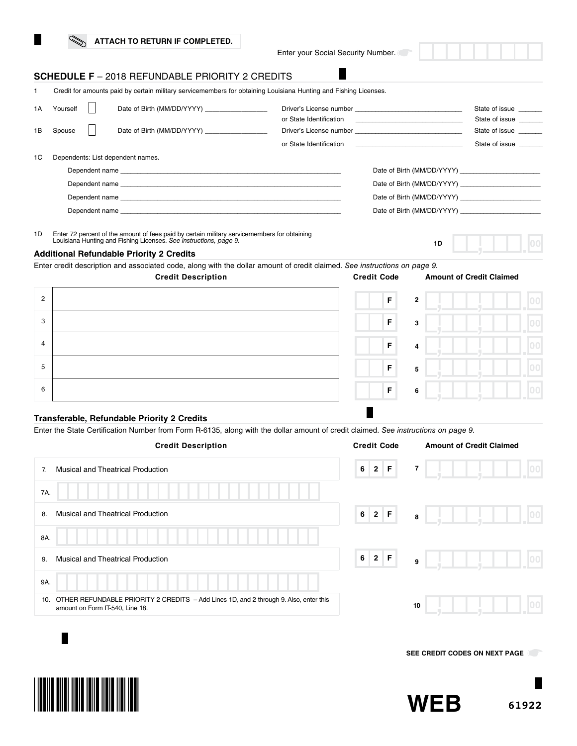|  | ATTACH TO RETURN IF COMPLETED. |
|--|--------------------------------|
|  |                                |

Enter your Social Security Number.

г

## **SCHEDULE F** – 2018 REFUNDABLE PRIORITY 2 CREDITS

|    | Credit for amounts paid by certain military servicemembers for obtaining Louisiana Hunting and Fishing Licenses. |  |                                                |                         |                            |                                  |  |  |  |
|----|------------------------------------------------------------------------------------------------------------------|--|------------------------------------------------|-------------------------|----------------------------|----------------------------------|--|--|--|
| 1A | Yourself                                                                                                         |  | Date of Birth (MM/DD/YYYY) ___________________ |                         |                            | State of issue<br>State of issue |  |  |  |
| 1B | Spouse                                                                                                           |  | Date of Birth (MM/DD/YYYY) ___________________ |                         |                            | State of issue                   |  |  |  |
|    |                                                                                                                  |  |                                                | or State Identification |                            | State of issue                   |  |  |  |
| 1C |                                                                                                                  |  | Dependents: List dependent names.              |                         |                            |                                  |  |  |  |
|    |                                                                                                                  |  |                                                |                         | Date of Birth (MM/DD/YYYY) |                                  |  |  |  |
|    |                                                                                                                  |  |                                                |                         |                            |                                  |  |  |  |
|    |                                                                                                                  |  | Dependent name                                 |                         | Date of Birth (MM/DD/YYYY) |                                  |  |  |  |
|    |                                                                                                                  |  | Dependent name                                 |                         |                            |                                  |  |  |  |
|    |                                                                                                                  |  |                                                |                         |                            |                                  |  |  |  |

1D Enter 72 percent of the amount of fees paid by certain military servicemembers for obtaining Louisiana Hunting and Fishing Licenses. *See instructions, page 9.*

#### **Additional Refundable Priority 2 Credits**

Enter credit description and associated code, along with the dollar amount of credit claimed. *See instructions on page 9.*



# **Transferable, Refundable Priority 2 Credits**

Enter the State Certification Number from Form R-6135, along with the dollar amount of credit claimed. *See instructions on page 9.*

| <b>Credit Description</b>                                                                                                       | <b>Credit Code</b>                           | <b>Amount of Credit Claimed</b> |
|---------------------------------------------------------------------------------------------------------------------------------|----------------------------------------------|---------------------------------|
| Musical and Theatrical Production<br>7.                                                                                         | $2 \mid F$<br>$+6$ <sup><math>+</math></sup> | $\overline{7}$<br>100           |
| 7A.                                                                                                                             |                                              |                                 |
| <b>Musical and Theatrical Production</b><br>8.                                                                                  | $6$ 2 F                                      | 00 <br>- 10<br>8                |
| 8A.                                                                                                                             |                                              |                                 |
| <b>Musical and Theatrical Production</b><br>9.                                                                                  | $2$ F<br>6 <sup>1</sup>                      | 100<br>9                        |
| 9A.                                                                                                                             |                                              |                                 |
| OTHER REFUNDABLE PRIORITY 2 CREDITS - Add Lines 1D, and 2 through 9. Also, enter this<br>10.<br>amount on Form IT-540, Line 18. |                                              | 10                              |
|                                                                                                                                 |                                              |                                 |

**SEE CREDIT CODES ON NEXT PAGE** 





**1D**

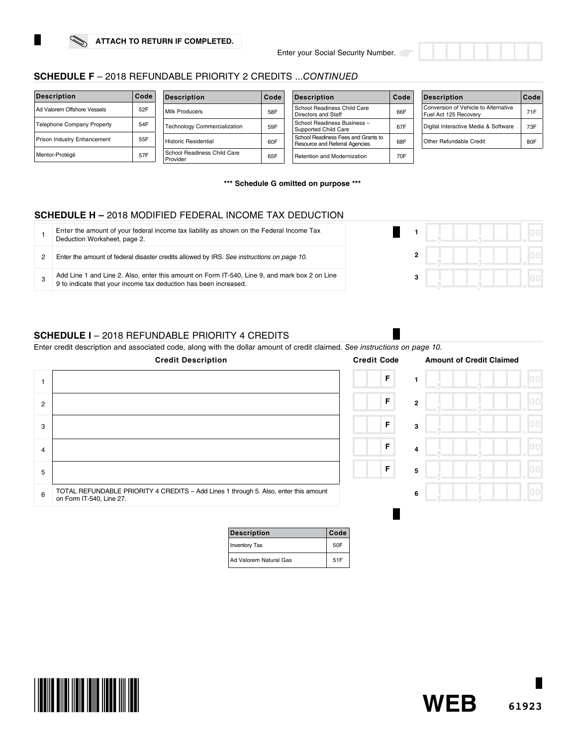×



| <b>Description</b>                | Code | <b>Description</b>                      | Code | <b>Description</b>                                                    | Code | <b>Description</b>                                            | Code |
|-----------------------------------|------|-----------------------------------------|------|-----------------------------------------------------------------------|------|---------------------------------------------------------------|------|
| Ad Valorem Offshore Vessels       | 52F  | Milk Producers                          | 58F  | School Readiness Child Care<br>Directors and Staff                    | 66F  | Conversion of Vehicle to Alternative<br>Fuel Act 125 Recovery | 71F  |
| <b>Telephone Company Property</b> | 54F  | <b>Technology Commercialization</b>     | 59F  | School Readiness Business -<br>Supported Child Care                   | 67F  | Digital Interactive Media & Software                          | 73F  |
| Prison Industry Enhancement       | 55F  | Historic Residential                    | 60F  | School Readiness Fees and Grants to<br>Resource and Referral Agencies | 68F  | Other Refundable Credit                                       | 80F  |
| Mentor-Protégé                    | 57F  | School Readiness Child Care<br>Provider | 65F  | Retention and Modernization                                           | 70F  |                                                               |      |

**\*\*\* Schedule G omitted on purpose \*\*\***

# **SCHEDULE H –** 2018 MODIFIED FEDERAL INCOME TAX DEDUCTION

| Enter the amount of your federal income tax liability as shown on the Federal Income Tax<br>Deduction Worksheet, page 2.                                       |  |
|----------------------------------------------------------------------------------------------------------------------------------------------------------------|--|
| Enter the amount of federal disaster credits allowed by IRS. See instructions on page 10.                                                                      |  |
| Add Line 1 and Line 2. Also, enter this amount on Form IT-540, Line 9, and mark box 2 on Line 9 to indicate that your income tax deduction has been increased. |  |

# **SCHEDULE I** – 2018 REFUNDABLE PRIORITY 4 CREDITS

Enter credit description and associated code, along with the dollar amount of credit claimed. *See instructions on page 10.*

|                | <b>Credit Description</b>                                                                                        | <b>Credit Code</b> | <b>Amount of Credit Claimed</b> |  |
|----------------|------------------------------------------------------------------------------------------------------------------|--------------------|---------------------------------|--|
|                |                                                                                                                  | F                  |                                 |  |
| $\overline{2}$ |                                                                                                                  | $\mathsf F$        | $\overline{2}$                  |  |
| 3              |                                                                                                                  | F                  | 3                               |  |
| $\overline{4}$ |                                                                                                                  | F                  | 4                               |  |
| 5              |                                                                                                                  | F                  | 5                               |  |
| 6              | TOTAL REFUNDABLE PRIORITY 4 CREDITS - Add Lines 1 through 5. Also, enter this amount<br>on Form IT-540, Line 27. |                    | 6                               |  |
|                |                                                                                                                  |                    |                                 |  |

| <b>Description</b>     | Code |
|------------------------|------|
| Inventory Tax          | 50F  |
| Ad Valorem Natural Gas | 51F  |



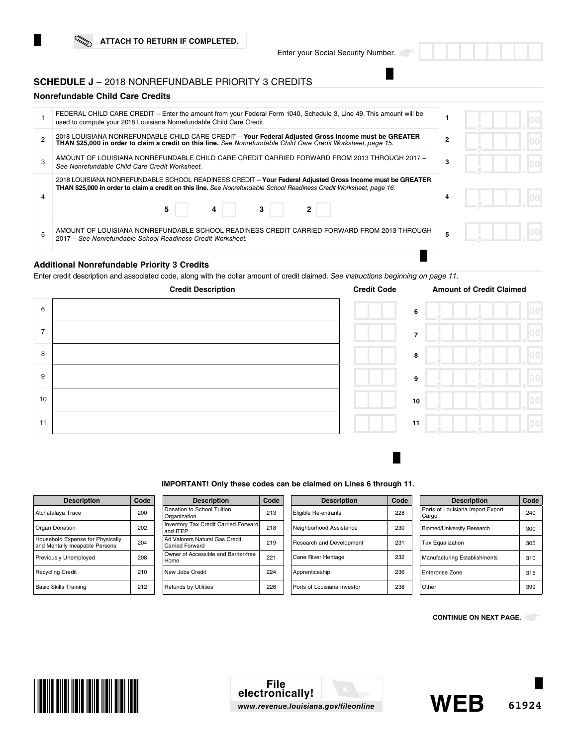## **SCHEDULE J** – 2018 NONREFUNDABLE PRIORITY 3 CREDITS

### **Nonrefundable Child Care Credits**

| FEDERAL CHILD CARE CREDIT – Enter the amount from your Federal Form 1040, Schedule 3, Line 49. This amount will be<br>used to compute your 2018 Louisiana Nonrefundable Child Care Credit.                                                       |              |  |
|--------------------------------------------------------------------------------------------------------------------------------------------------------------------------------------------------------------------------------------------------|--------------|--|
| 2018 LOUISIANA NONREFUNDABLE CHILD CARE CREDIT - Your Federal Adjusted Gross Income must be GREATER<br>THAN \$25,000 in order to claim a credit on this line. See Nonrefundable Child Care Credit Worksheet, page 15.                            | $\mathbf{2}$ |  |
| AMOUNT OF LOUISIANA NONREFUNDABLE CHILD CARE CREDIT CARRIED FORWARD FROM 2013 THROUGH 2017 -<br>See Nonrefundable Child Care Credit Worksheet.                                                                                                   | 3            |  |
| 2018 LOUISIANA NONREFUNDABLE SCHOOL READINESS CREDIT - Your Federal Adjusted Gross Income must be GREATER<br>THAN \$25,000 in order to claim a credit on this line. See Nonrefundable School Readiness Credit Worksheet, page 16.<br>5<br>3<br>4 |              |  |
| AMOUNT OF LOUISIANA NONREFUNDABLE SCHOOL READINESS CREDIT CARRIED FORWARD FROM 2013 THROUGH<br>2017 – See Nonrefundable School Readiness Credit Worksheet.                                                                                       |              |  |
|                                                                                                                                                                                                                                                  |              |  |

# **Additional Nonrefundable Priority 3 Credits**

Enter credit description and associated code, along with the dollar amount of credit claimed. *See instructions beginning on page 11.* 



#### **IMPORTANT! Only these codes can be claimed on Lines 6 through 11.**

| <b>Description</b>                                                 | Code |
|--------------------------------------------------------------------|------|
| Atchafalaya Trace                                                  | 200  |
| Organ Donation                                                     | 202  |
| Household Expense for Physically<br>and Mentally Incapable Persons | 204  |
| Previously Unemployed                                              | 208  |
| <b>Recycling Credit</b>                                            | 210  |
| <b>Basic Skills Training</b>                                       | 212  |

| <b>Description</b>                               | Code |
|--------------------------------------------------|------|
| Donation to School Tuition<br>Organization       | 213  |
| Inventory Tax Credit Carried Forward<br>and ITEP | 218  |
| Ad Valorem Natural Gas Credit<br>Carried Forward | 219  |
| Owner of Accessible and Barrier-free<br>Home     | 221  |
| New Jobs Credit                                  | 224  |
| <b>Refunds by Utilities</b>                      | 226  |

| <b>Description</b>          | Code |
|-----------------------------|------|
| Eligible Re-entrants        | 228  |
| Neighborhood Assistance     | 230  |
| Research and Development    | 231  |
| Cane River Heritage         | 232  |
| Apprenticeship              | 236  |
| Ports of Louisiana Investor | 238  |

| <b>Description</b>                        | Code |
|-------------------------------------------|------|
| Ports of Louisiana Import Export<br>Cargo | 240  |
| <b>Biomed/University Research</b>         | 300  |
| <b>Tax Equalization</b>                   | 305  |
| <b>Manufacturing Establishments</b>       | 310  |
| <b>Enterprise Zone</b>                    | 315  |
| Other                                     | 399  |

**CONTINUE ON NEXT PAGE.** 





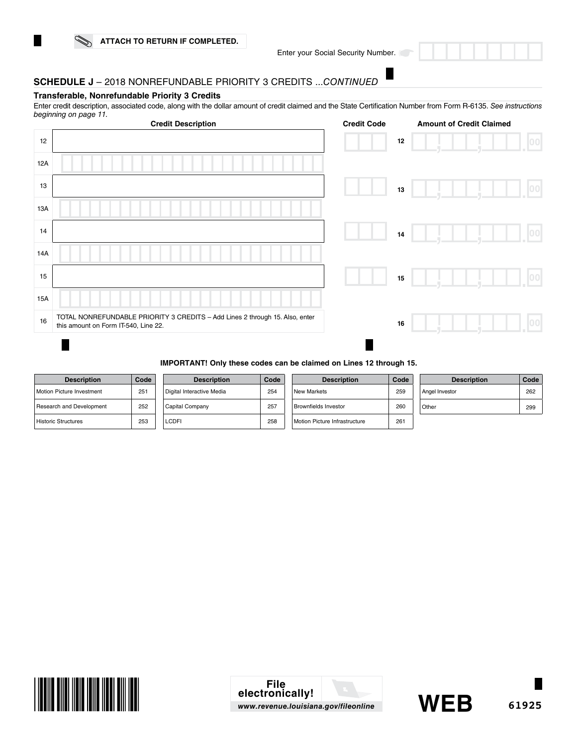Enter your Social Security Number.

# **SCHEDULE J** – 2018 NONREFUNDABLE PRIORITY 3 CREDITS ...*CONTINUED*

#### **Transferable, Nonrefundable Priority 3 Credits**

Enter credit description, associated code, along with the dollar amount of credit claimed and the State Certification Number from Form R-6135. *See instructions beginning on page 11.*

|     | <b>Credit Description</b>                                                                                            | <b>Credit Code</b> |      | <b>Amount of Credit Claimed</b> |                  |
|-----|----------------------------------------------------------------------------------------------------------------------|--------------------|------|---------------------------------|------------------|
| 12  |                                                                                                                      |                    | 12   |                                 | 00               |
| 12A |                                                                                                                      |                    |      |                                 |                  |
| 13  |                                                                                                                      |                    | 13   |                                 | $\overline{100}$ |
| 13A |                                                                                                                      |                    |      |                                 |                  |
| 14  |                                                                                                                      |                    | $14$ |                                 | 00               |
| 14A |                                                                                                                      |                    |      |                                 |                  |
| 15  |                                                                                                                      |                    | 15   |                                 | 00               |
| 15A |                                                                                                                      |                    |      |                                 |                  |
| 16  | TOTAL NONREFUNDABLE PRIORITY 3 CREDITS - Add Lines 2 through 15. Also, enter<br>this amount on Form IT-540, Line 22. |                    | 16   |                                 |                  |
|     |                                                                                                                      |                    |      |                                 |                  |

#### **IMPORTANT! Only these codes can be claimed on Lines 12 through 15.**

| <b>Description</b>               | Code |
|----------------------------------|------|
| <b>Motion Picture Investment</b> | 251  |
| Research and Development         | 252  |
| <b>Historic Structures</b>       | 253  |

| <b>Description</b>        | Code |  |
|---------------------------|------|--|
| Digital Interactive Media | 254  |  |
| Capital Company           | 257  |  |
| I CDEI                    | 258  |  |

| <b>Description</b>            | Code |
|-------------------------------|------|
| <b>New Markets</b>            | 259  |
| Brownfields Investor          | 260  |
| Motion Picture Infrastructure | 261  |

| <b>Description</b> | Code |
|--------------------|------|
| Angel Investor     | 262  |
| Other              | 299  |



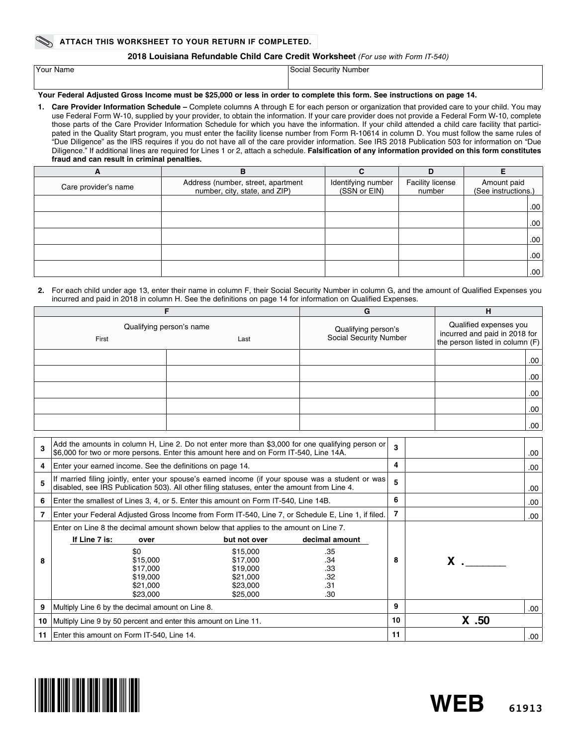#### **ATTACH THIS WORKSHEET TO YOUR RETURN IF COMPLETED.**

#### **2018 Louisiana Refundable Child Care Credit Worksheet** *(For use with Form IT-540)*

| Your Name | Social Security Number |
|-----------|------------------------|
|           |                        |

### **Your Federal Adjusted Gross Income must be \$25,000 or less in order to complete this form. See instructions on page 14.**

**1. Care Provider Information Schedule –** Complete columns A through E for each person or organization that provided care to your child. You may use Federal Form W-10, supplied by your provider, to obtain the information. If your care provider does not provide a Federal Form W-10, complete those parts of the Care Provider Information Schedule for which you have the information. If your child attended a child care facility that participated in the Quality Start program, you must enter the facility license number from Form R-10614 in column D. You must follow the same rules of "Due Diligence" as the IRS requires if you do not have all of the care provider information. See IRS 2018 Publication 503 for information on "Due Diligence." If additional lines are required for Lines 1 or 2, attach a schedule. **Falsification of any information provided on this form constitutes fraud and can result in criminal penalties.**

| A                    | в                                                                   |                                    | D                                 |                                    |
|----------------------|---------------------------------------------------------------------|------------------------------------|-----------------------------------|------------------------------------|
| Care provider's name | Address (number, street, apartment<br>number, city, state, and ZIP) | Identifying number<br>(SSN or EIN) | <b>Facility license</b><br>number | Amount paid<br>(See instructions.) |
|                      |                                                                     |                                    |                                   | .00                                |
|                      |                                                                     |                                    |                                   | .00 <sub>1</sub>                   |
|                      |                                                                     |                                    |                                   | .00 <sub>1</sub>                   |
|                      |                                                                     |                                    |                                   | .00 <sub>1</sub>                   |
|                      |                                                                     |                                    |                                   | .00 <sub>1</sub>                   |

#### **2.** For each child under age 13, enter their name in column F, their Social Security Number in column G, and the amount of Qualified Expenses you incurred and paid in 2018 in column H. See the definitions on page 14 for information on Qualified Expenses.

|                                           |  | G                                             | н                                                                                          |
|-------------------------------------------|--|-----------------------------------------------|--------------------------------------------------------------------------------------------|
| Qualifying person's name<br>First<br>Last |  | Qualifying person's<br>Social Security Number | Qualified expenses you<br>incurred and paid in 2018 for<br>the person listed in column (F) |
|                                           |  |                                               | .00.                                                                                       |
|                                           |  |                                               | .00.                                                                                       |
|                                           |  |                                               | .00.                                                                                       |
|                                           |  |                                               | .00.                                                                                       |
|                                           |  |                                               | .00                                                                                        |

| 3  | Add the amounts in column H, Line 2. Do not enter more than \$3,000 for one qualifying person or<br>\$6,000 for two or more persons. Enter this amount here and on Form IT-540, Line 14A.          |                                                                         |                                                                                      |                                                                                                     | $\mathbf{3}$ |  | .00 |
|----|----------------------------------------------------------------------------------------------------------------------------------------------------------------------------------------------------|-------------------------------------------------------------------------|--------------------------------------------------------------------------------------|-----------------------------------------------------------------------------------------------------|--------------|--|-----|
| 4  | Enter your earned income. See the definitions on page 14.                                                                                                                                          |                                                                         |                                                                                      |                                                                                                     | 4            |  | .00 |
| 5  | If married filing jointly, enter your spouse's earned income (if your spouse was a student or was)<br>disabled, see IRS Publication 503). All other filing statuses, enter the amount from Line 4. |                                                                         |                                                                                      |                                                                                                     | 5            |  | .00 |
| 6  | Enter the smallest of Lines 3, 4, or 5. Enter this amount on Form IT-540, Line 14B.                                                                                                                |                                                                         |                                                                                      |                                                                                                     | 6            |  | .00 |
|    |                                                                                                                                                                                                    |                                                                         |                                                                                      | Enter your Federal Adjusted Gross Income from Form IT-540, Line 7, or Schedule E, Line 1, if filed. | 7            |  | .00 |
| 8  | Enter on Line 8 the decimal amount shown below that applies to the amount on Line 7.<br>If Line 7 is:                                                                                              | over<br>\$0<br>\$15,000<br>\$17,000<br>\$19,000<br>\$21,000<br>\$23,000 | but not over<br>\$15,000<br>\$17,000<br>\$19,000<br>\$21,000<br>\$23,000<br>\$25,000 | decimal amount<br>.35<br>.34<br>.33<br>.32<br>.31<br>.30                                            | 8            |  |     |
| 9  | Multiply Line 6 by the decimal amount on Line 8.                                                                                                                                                   |                                                                         |                                                                                      |                                                                                                     | 9            |  | .00 |
| 10 | Multiply Line 9 by 50 percent and enter this amount on Line 11.                                                                                                                                    |                                                                         |                                                                                      | 10                                                                                                  | $X$ .50      |  |     |
| 11 | Enter this amount on Form IT-540, Line 14.                                                                                                                                                         |                                                                         |                                                                                      |                                                                                                     | 11           |  | .00 |